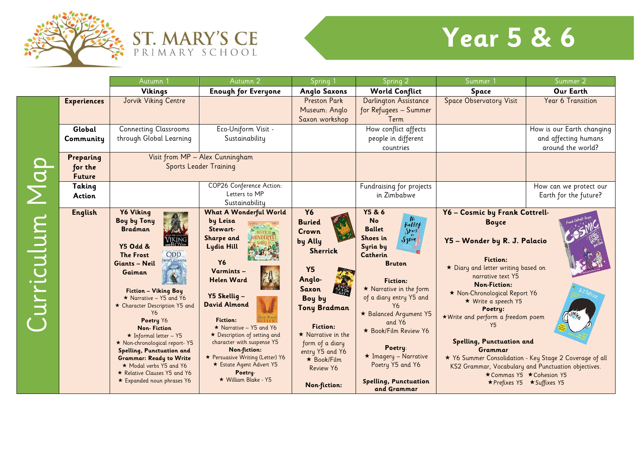



## **Year 5 & 6**

|           |                                       | Autumn <sup>1</sup>                                                                                                                                                                                                                                                                                                                                                                                                                                                                                                     | Autumn 2                                                                                                                                                                                                                                                                                                                                                                                                     | Spring <sup>1</sup>                                                                                                                                                                                                                                                       | Spring 2                                                                                                                                                                                                                                                                                                                                                                                                         | Summer                                                                                                                                                                                                                                                                                                                                                                                             | Summer 2                                                                                                            |
|-----------|---------------------------------------|-------------------------------------------------------------------------------------------------------------------------------------------------------------------------------------------------------------------------------------------------------------------------------------------------------------------------------------------------------------------------------------------------------------------------------------------------------------------------------------------------------------------------|--------------------------------------------------------------------------------------------------------------------------------------------------------------------------------------------------------------------------------------------------------------------------------------------------------------------------------------------------------------------------------------------------------------|---------------------------------------------------------------------------------------------------------------------------------------------------------------------------------------------------------------------------------------------------------------------------|------------------------------------------------------------------------------------------------------------------------------------------------------------------------------------------------------------------------------------------------------------------------------------------------------------------------------------------------------------------------------------------------------------------|----------------------------------------------------------------------------------------------------------------------------------------------------------------------------------------------------------------------------------------------------------------------------------------------------------------------------------------------------------------------------------------------------|---------------------------------------------------------------------------------------------------------------------|
|           |                                       | Vikings                                                                                                                                                                                                                                                                                                                                                                                                                                                                                                                 | <b>Enough for Everyone</b>                                                                                                                                                                                                                                                                                                                                                                                   | <b>Anglo Saxons</b>                                                                                                                                                                                                                                                       | <b>World Conflict</b>                                                                                                                                                                                                                                                                                                                                                                                            | Space                                                                                                                                                                                                                                                                                                                                                                                              | Our Earth                                                                                                           |
|           | <b>Experiences</b>                    | Jorvik Viking Centre                                                                                                                                                                                                                                                                                                                                                                                                                                                                                                    |                                                                                                                                                                                                                                                                                                                                                                                                              | <b>Preston Park</b><br>Museum: Anglo<br>Saxon workshop                                                                                                                                                                                                                    | Darlington Assistance<br>for Refugees - Summer<br>Term                                                                                                                                                                                                                                                                                                                                                           | <b>Space Observatory Visit</b>                                                                                                                                                                                                                                                                                                                                                                     | Year 6 Transition                                                                                                   |
|           | Global<br>Community                   | <b>Connecting Classrooms</b><br>through Global Learning                                                                                                                                                                                                                                                                                                                                                                                                                                                                 | Eco-Uniform Visit -<br>Sustainability                                                                                                                                                                                                                                                                                                                                                                        |                                                                                                                                                                                                                                                                           | How conflict affects<br>people in different<br>countries                                                                                                                                                                                                                                                                                                                                                         |                                                                                                                                                                                                                                                                                                                                                                                                    | How is our Earth changing<br>and affecting humans<br>around the world?                                              |
|           | Preparing<br>for the<br><b>Future</b> |                                                                                                                                                                                                                                                                                                                                                                                                                                                                                                                         | Visit from MP - Alex Cunningham<br><b>Sports Leader Training</b>                                                                                                                                                                                                                                                                                                                                             |                                                                                                                                                                                                                                                                           |                                                                                                                                                                                                                                                                                                                                                                                                                  |                                                                                                                                                                                                                                                                                                                                                                                                    |                                                                                                                     |
|           | Taking<br>Action                      |                                                                                                                                                                                                                                                                                                                                                                                                                                                                                                                         | COP26 Conference Action:<br>Letters to MP<br>Sustainability                                                                                                                                                                                                                                                                                                                                                  |                                                                                                                                                                                                                                                                           | Fundraising for projects<br>in Zimbabwe                                                                                                                                                                                                                                                                                                                                                                          |                                                                                                                                                                                                                                                                                                                                                                                                    | How can we protect our<br>Earth for the future?                                                                     |
| urriculum | <b>English</b>                        | <b>Y6 Viking</b><br><b>Boy by Tony</b><br><b>Bradman</b><br><b>Y5 Odd &amp;</b><br>ODD<br><b>The Frost</b><br><b>FROST CIANTS</b><br>Giants - Neil<br>Gaiman<br>Fiction - Viking Boy<br>$\star$ Narrative – Y5 and Y6<br>* Character Description Y5 and<br>Y6<br>Poetry Y6<br><b>Non-Fiction</b><br>$\star$ Informal letter - Y5<br>* Non-chronological report-Y5<br>Spelling, Punctuation and<br><b>Grammar: Ready to Write</b><br>* Modal verbs Y5 and Y6<br>Relative Clauses Y5 and Y6<br>* Expanded noun phrases Y6 | <b>What A Wonderful World</b><br>by Leisa<br>Stewart-<br>Sharpe and<br>Lydia Hill<br><b>Y6</b><br>Varmints-<br><b>Helen Ward</b><br>Y5 Skellig -<br><b>David Almond</b><br><b>Fiction:</b><br>$\star$ Narrative - Y5 and Y6<br>* Description of setting and<br>character with suspense Y5<br>Non-fiction:<br>* Persuasive Writing (Letter) Y6<br>* Estate Agent Advert Y5<br>Poetry-<br>★ William Blake - Y5 | <b>Y6</b><br><b>Buried</b><br>Crown<br>by Ally<br><b>Sherrick</b><br><b>Y5</b><br>Anglo-<br><b>Saxon</b><br>Boy by<br><b>Tony Bradman</b><br>Fiction:<br>$\star$ Narrative in the<br>form of a diary<br>entry Y5 and Y6<br>$\star$ Book/Film<br>Review Y6<br>Non-fiction: | <b>Y5 &amp; 6</b><br>$\frac{N_0}{B}$<br><b>No</b><br><b>Ballet</b><br>Shoes<br>Shoes in<br>$S1$ <sub>kiq</sub><br>Syria by<br>Catherin<br><b>Bruton</b><br><b>Fiction:</b><br>* Narrative in the form<br>of a diary entry Y5 and<br>Y6<br>* Balanced Argument Y5<br>and Y6<br>* Book/Film Review Y6<br>Poetry:<br>$\star$ Imagery - Narrative<br>Poetry Y5 and Y6<br><b>Spelling, Punctuation</b><br>and Grammar | Y6 - Cosmic by Frank Cottrell-<br><b>Boyce</b><br>Y5 - Wonder by R. J. Palacio<br><b>Fiction:</b><br>* Diary and letter writing based on<br>narrative text Y5<br><b>Non-Fiction:</b><br>* Non-Chronological Report Y6<br>★ Write a speech Y5<br>Poetry:<br>* Write and perform a freedom poem<br>Y5<br>Spelling, Punctuation and<br>Grammar<br>KS2 Grammar, Vocabulary and Punctuation objectives. | * Y6 Summer Consolidation - Key Stage 2 Coverage of all<br>★ Commas Y5 ★ Cohesion Y5<br>★ Prefixes Y5 ★ Suffixes Y5 |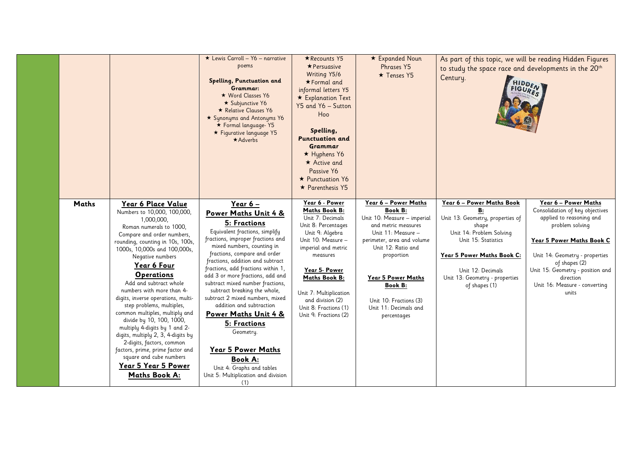|       |                                                                                                                                                                                                                                                                                                                                                                                                                                                                                                                                                                                                                                                                | ★ Lewis Carroll - Y6 - narrative<br>poems<br>Spelling, Punctuation and<br>Grammar:<br>★ Word Classes Y6<br>★ Subjunctive Y6<br>* Relative Clauses Y6<br>* Synonyms and Antonyms Y6<br>★ Formal language-Y5<br>★ Figurative language Y5<br>$\star$ Adverbs                                                                                                                                                                                                                                                                                                                                                                 | ★ Recounts Y5<br>$\star$ Persuasive<br>Writing Y5/6<br>★Formal and<br>informal letters Y5<br>* Explanation Text<br>Y5 and Y6 - Sutton<br>Hoo<br>Spelling,<br><b>Punctuation and</b><br><b>Grammar</b><br>$\star$ Hyphens Y6<br>$\star$ Active and<br>Passive Y6<br>* Punctuation Y6<br>$\star$ Parenthesis Y5 | * Expanded Noun<br><b>Phrases Y5</b><br>$\star$ Tenses Y5                                                                                                                                                                                                                                      | As part of this topic, we will be reading Hidden Figures<br>to study the space race and developments in the 20 <sup>th</sup><br>Century.<br><b>FIGURE</b>                                                                             | HIDDENT                                                                                                                                                                                                                                                                           |
|-------|----------------------------------------------------------------------------------------------------------------------------------------------------------------------------------------------------------------------------------------------------------------------------------------------------------------------------------------------------------------------------------------------------------------------------------------------------------------------------------------------------------------------------------------------------------------------------------------------------------------------------------------------------------------|---------------------------------------------------------------------------------------------------------------------------------------------------------------------------------------------------------------------------------------------------------------------------------------------------------------------------------------------------------------------------------------------------------------------------------------------------------------------------------------------------------------------------------------------------------------------------------------------------------------------------|---------------------------------------------------------------------------------------------------------------------------------------------------------------------------------------------------------------------------------------------------------------------------------------------------------------|------------------------------------------------------------------------------------------------------------------------------------------------------------------------------------------------------------------------------------------------------------------------------------------------|---------------------------------------------------------------------------------------------------------------------------------------------------------------------------------------------------------------------------------------|-----------------------------------------------------------------------------------------------------------------------------------------------------------------------------------------------------------------------------------------------------------------------------------|
| Maths | Year 6 Place Value<br>Numbers to 10,000, 100,000,<br>1,000,000,<br>Roman numerals to 1000,<br>Compare and order numbers,<br>rounding, counting in 10s, 100s,<br>1000s, 10,000s and 100,000s,<br>Negative numbers<br>Year 6 Four<br><b>Operations</b><br>Add and subtract whole<br>numbers with more than 4-<br>digits, inverse operations, multi-<br>step problems, multiples,<br>common multiples, multiply and<br>divide by 10, 100, 1000,<br>multiply 4-digits by 1 and 2-<br>digits, multiply 2, 3, 4-digits by<br>2-digits, factors, common<br>factors, prime, prime factor and<br>square and cube numbers<br>Year 5 Year 5 Power<br><b>Maths Book A:</b> | Year 6 -<br>Power Maths Unit 4 &<br>5: Fractions<br>Equivalent fractions, simplify<br>fractions, improper fractions and<br>mixed numbers, counting in<br>fractions, compare and order<br>fractions, addition and subtract<br>fractions, add fractions within 1,<br>add 3 or more fractions, add and<br>subtract mixed number fractions,<br>subtract breaking the whole,<br>subtract 2 mixed numbers, mixed<br>addition and subtraction<br><b>Power Maths Unit 4 &amp;</b><br>5: Fractions<br>Geometry.<br>Year 5 Power Maths<br><b>Book A:</b><br>Unit 4: Graphs and tables<br>Unit 5: Multiplication and division<br>(1) | Year 6 - Power<br>Maths Book B:<br>Unit 7: Decimals<br>Unit 8: Percentages<br>Unit 9: Algebra<br>Unit 10: Measure -<br>imperial and metric<br>measures<br>Year 5- Power<br>Maths Book B:<br>Unit 7: Multiplication<br>and division (2)<br>Unit 8: Fractions (1)<br>Unit 9: Fractions (2)                      | Year 6 - Power Maths<br><b>Book B:</b><br>Unit 10: Measure - imperial<br>and metric measures<br>Unit 11: Measure -<br>perimeter, area and volume<br>Unit 12: Ratio and<br>proportion<br>Year 5 Power Maths<br><b>Book B:</b><br>Unit 10: Fractions (3)<br>Unit 11: Decimals and<br>percentages | Year 6 - Power Maths Book<br>B:<br>Unit 13: Geometry, properties of<br>shape<br>Unit 14: Problem Solving<br>Unit 15: Statistics<br>Year 5 Power Maths Book C:<br>Unit 12: Decimals<br>Unit 13: Geometry - properties<br>of shapes (1) | Year 6 - Power Maths<br>Consolidation of key objectives<br>applied to reasoning and<br>problem solving<br>Year 5 Power Maths Book C<br>Unit 14: Geometry - properties<br>of shapes (2)<br>Unit 15: Geometry - position and<br>direction<br>Unit 16: Measure - converting<br>units |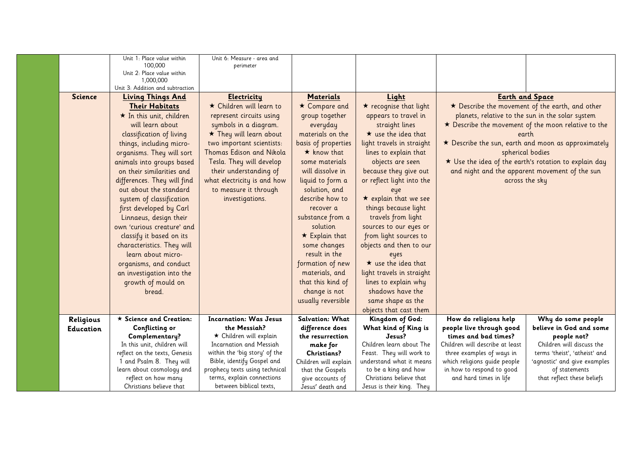|                  | Unit 1: Place value within<br>100,000<br>Unit 2: Place value within<br>1,000,000                                                                                                                                                                                                                                                                                                                                                                                                                                                                                                                      | Unit 6: Measure - area and<br>perimeter                                                                                                                                                                                                                                                                                  |                                                                                                                                                                                                                                                                                                                                                                                                                 |                                                                                                                                                                                                                                                                                                                                                                                                                                                                                                                              |                                                                                                                                                                                                                                                                                         |                                                                                                            |
|------------------|-------------------------------------------------------------------------------------------------------------------------------------------------------------------------------------------------------------------------------------------------------------------------------------------------------------------------------------------------------------------------------------------------------------------------------------------------------------------------------------------------------------------------------------------------------------------------------------------------------|--------------------------------------------------------------------------------------------------------------------------------------------------------------------------------------------------------------------------------------------------------------------------------------------------------------------------|-----------------------------------------------------------------------------------------------------------------------------------------------------------------------------------------------------------------------------------------------------------------------------------------------------------------------------------------------------------------------------------------------------------------|------------------------------------------------------------------------------------------------------------------------------------------------------------------------------------------------------------------------------------------------------------------------------------------------------------------------------------------------------------------------------------------------------------------------------------------------------------------------------------------------------------------------------|-----------------------------------------------------------------------------------------------------------------------------------------------------------------------------------------------------------------------------------------------------------------------------------------|------------------------------------------------------------------------------------------------------------|
|                  | Unit 3: Addition and subtraction                                                                                                                                                                                                                                                                                                                                                                                                                                                                                                                                                                      |                                                                                                                                                                                                                                                                                                                          |                                                                                                                                                                                                                                                                                                                                                                                                                 |                                                                                                                                                                                                                                                                                                                                                                                                                                                                                                                              |                                                                                                                                                                                                                                                                                         |                                                                                                            |
| <b>Science</b>   | <b>Living Things And</b><br><b>Their Habitats</b><br>$\star$ In this unit, children<br>will learn about<br>classification of living<br>things, including micro-<br>organisms. They will sort<br>animals into groups based<br>on their similarities and<br>differences. They will find<br>out about the standard<br>system of classification<br>first developed by Carl<br>Linnaeus, design their<br>own 'curious creature' and<br>classify it based on its<br>characteristics. They will<br>learn about micro-<br>organisms, and conduct<br>an investigation into the<br>growth of mould on<br>bread. | <b>Electricity</b><br>★ Children will learn to<br>represent circuits using<br>symbols in a diagram.<br>* They will learn about<br>two important scientists:<br>Thomas Edison and Nikola<br>Tesla. They will develop<br>their understanding of<br>what electricity is and how<br>to measure it through<br>investigations. | <b>Materials</b><br>* Compare and<br>group together<br>everyday<br>materials on the<br>basis of properties<br>$\star$ know that<br>some materials<br>will dissolve in<br>liquid to form a<br>solution, and<br>describe how to<br>recover a<br>substance from a<br>solution<br>$\star$ Explain that<br>some changes<br>result in the<br>formation of new<br>materials, and<br>that this kind of<br>change is not | Light<br>$\star$ recognise that light<br>appears to travel in<br>straight lines<br>$\star$ use the idea that<br>light travels in straight<br>lines to explain that<br>objects are seen<br>because they give out<br>or reflect light into the<br>eye<br>$\star$ explain that we see<br>things because light<br>travels from light<br>sources to our eyes or<br>from light sources to<br>objects and then to our<br>eyes<br>$\star$ use the idea that<br>light travels in straight<br>lines to explain why<br>shadows have the | <b>Earth and Space</b><br>* Describe the movement of the earth, and other<br>planets, relative to the sun in the solar system<br>earth<br>spherical bodies<br>★ Use the idea of the earth's rotation to explain day<br>and night and the apparent movement of the sun<br>across the sky | * Describe the movement of the moon relative to the<br>* Describe the sun, earth and moon as approximately |
|                  |                                                                                                                                                                                                                                                                                                                                                                                                                                                                                                                                                                                                       |                                                                                                                                                                                                                                                                                                                          | usually reversible                                                                                                                                                                                                                                                                                                                                                                                              | same shape as the                                                                                                                                                                                                                                                                                                                                                                                                                                                                                                            |                                                                                                                                                                                                                                                                                         |                                                                                                            |
|                  |                                                                                                                                                                                                                                                                                                                                                                                                                                                                                                                                                                                                       |                                                                                                                                                                                                                                                                                                                          |                                                                                                                                                                                                                                                                                                                                                                                                                 | objects that cast them                                                                                                                                                                                                                                                                                                                                                                                                                                                                                                       |                                                                                                                                                                                                                                                                                         |                                                                                                            |
| Religious        | $\star$ Science and Creation:                                                                                                                                                                                                                                                                                                                                                                                                                                                                                                                                                                         | <b>Incarnation: Was Jesus</b>                                                                                                                                                                                                                                                                                            | <b>Salvation: What</b>                                                                                                                                                                                                                                                                                                                                                                                          | Kingdom of God:                                                                                                                                                                                                                                                                                                                                                                                                                                                                                                              | How do religions help                                                                                                                                                                                                                                                                   | Why do some people                                                                                         |
| <b>Education</b> | <b>Conflicting or</b>                                                                                                                                                                                                                                                                                                                                                                                                                                                                                                                                                                                 | the Messiah?<br>$\star$ Children will explain                                                                                                                                                                                                                                                                            | difference does<br>the resurrection                                                                                                                                                                                                                                                                                                                                                                             | What kind of King is<br>Jesus?                                                                                                                                                                                                                                                                                                                                                                                                                                                                                               | people live through good<br>times and bad times?                                                                                                                                                                                                                                        | believe in God and some                                                                                    |
|                  | Complementary?<br>In this unit, children will                                                                                                                                                                                                                                                                                                                                                                                                                                                                                                                                                         | <b>Incarnation and Messiah</b>                                                                                                                                                                                                                                                                                           | make for                                                                                                                                                                                                                                                                                                                                                                                                        | Children learn about The                                                                                                                                                                                                                                                                                                                                                                                                                                                                                                     | Children will describe at least                                                                                                                                                                                                                                                         | people not?<br>Children will discuss the                                                                   |
|                  | reflect on the texts, Genesis                                                                                                                                                                                                                                                                                                                                                                                                                                                                                                                                                                         | within the 'big story' of the                                                                                                                                                                                                                                                                                            | <b>Christians?</b>                                                                                                                                                                                                                                                                                                                                                                                              | Feast. They will work to                                                                                                                                                                                                                                                                                                                                                                                                                                                                                                     | three examples of ways in                                                                                                                                                                                                                                                               | terms 'theist', 'atheist' and                                                                              |
|                  | 1 and Psalm 8. They will                                                                                                                                                                                                                                                                                                                                                                                                                                                                                                                                                                              | Bible, identify Gospel and                                                                                                                                                                                                                                                                                               | Children will explain                                                                                                                                                                                                                                                                                                                                                                                           | understand what it means                                                                                                                                                                                                                                                                                                                                                                                                                                                                                                     | which religions guide people                                                                                                                                                                                                                                                            | 'agnostic' and give examples                                                                               |
|                  | learn about cosmology and                                                                                                                                                                                                                                                                                                                                                                                                                                                                                                                                                                             | prophecy texts using technical                                                                                                                                                                                                                                                                                           | that the Gospels                                                                                                                                                                                                                                                                                                                                                                                                | to be a king and how                                                                                                                                                                                                                                                                                                                                                                                                                                                                                                         | in how to respond to good                                                                                                                                                                                                                                                               | of statements                                                                                              |
|                  | reflect on how many                                                                                                                                                                                                                                                                                                                                                                                                                                                                                                                                                                                   | terms, explain connections                                                                                                                                                                                                                                                                                               | give accounts of                                                                                                                                                                                                                                                                                                                                                                                                | Christians believe that                                                                                                                                                                                                                                                                                                                                                                                                                                                                                                      | and hard times in life                                                                                                                                                                                                                                                                  | that reflect these beliefs                                                                                 |
|                  | Christians believe that                                                                                                                                                                                                                                                                                                                                                                                                                                                                                                                                                                               | between biblical texts,                                                                                                                                                                                                                                                                                                  | Jesus' death and                                                                                                                                                                                                                                                                                                                                                                                                | Jesus is their king. They                                                                                                                                                                                                                                                                                                                                                                                                                                                                                                    |                                                                                                                                                                                                                                                                                         |                                                                                                            |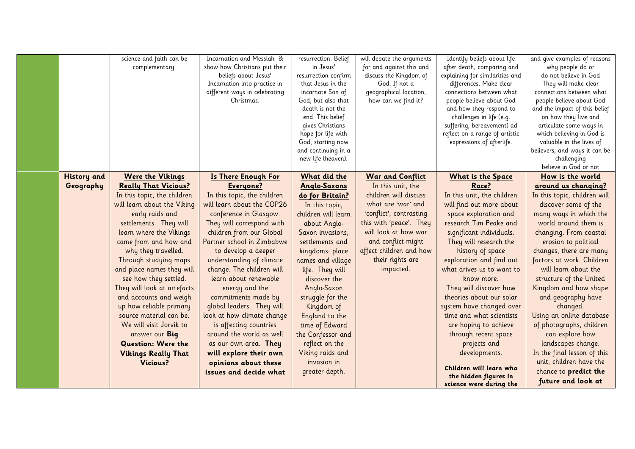|                                 | science and faith can be<br>complementary.                                                                                                                                                                                                                                                                                                                                                                                                                                                                                                                            | Incarnation and Messiah &<br>show how Christians put their<br>beliefs about Jesus'<br>Incarnation into practice in<br>different ways in celebrating<br>Christmas.                                                                                                                                                                                                                                                                                                                                                                                                   | resurrection. Belief<br>in Jesus'<br>resurrection confirm<br>that Jesus in the<br>incarnate Son of<br>God, but also that<br>death is not the<br>end. This belief<br>gives Christians<br>hope for life with<br>God, starting now                                                                                                                                                                  | will debate the arguments<br>for and against this and<br>discuss the Kingdom of<br>God. If not a<br>geographical location,<br>how can we find it?                                                                                                           | Identify beliefs about life<br>after death, comparing and<br>explaining for similarities and<br>differences. Make clear<br>connections between what<br>people believe about God<br>and how they respond to<br>challenges in life (e.g.<br>suffering, bereavement) ad<br>reflect on a range of artistic<br>expressions of afterlife.                                                                                                                                                             | and give examples of reasons<br>why people do or<br>do not believe in God<br>They will make clear<br>connections between what<br>people believe about God<br>and the impact of this belief<br>on how they live and<br>articulate some ways in<br>which believing in God is<br>valuable in the lives of                                                                                                                                                                                                                               |
|---------------------------------|-----------------------------------------------------------------------------------------------------------------------------------------------------------------------------------------------------------------------------------------------------------------------------------------------------------------------------------------------------------------------------------------------------------------------------------------------------------------------------------------------------------------------------------------------------------------------|---------------------------------------------------------------------------------------------------------------------------------------------------------------------------------------------------------------------------------------------------------------------------------------------------------------------------------------------------------------------------------------------------------------------------------------------------------------------------------------------------------------------------------------------------------------------|--------------------------------------------------------------------------------------------------------------------------------------------------------------------------------------------------------------------------------------------------------------------------------------------------------------------------------------------------------------------------------------------------|-------------------------------------------------------------------------------------------------------------------------------------------------------------------------------------------------------------------------------------------------------------|-------------------------------------------------------------------------------------------------------------------------------------------------------------------------------------------------------------------------------------------------------------------------------------------------------------------------------------------------------------------------------------------------------------------------------------------------------------------------------------------------|--------------------------------------------------------------------------------------------------------------------------------------------------------------------------------------------------------------------------------------------------------------------------------------------------------------------------------------------------------------------------------------------------------------------------------------------------------------------------------------------------------------------------------------|
|                                 |                                                                                                                                                                                                                                                                                                                                                                                                                                                                                                                                                                       |                                                                                                                                                                                                                                                                                                                                                                                                                                                                                                                                                                     | and continuing in a<br>new life (heaven).                                                                                                                                                                                                                                                                                                                                                        |                                                                                                                                                                                                                                                             |                                                                                                                                                                                                                                                                                                                                                                                                                                                                                                 | believers, and ways it can be<br>challenging<br>believe in God or not                                                                                                                                                                                                                                                                                                                                                                                                                                                                |
| <b>History</b> and<br>Geography | <b>Were the Vikings</b><br><b>Really That Vicious?</b><br>In this topic, the children<br>will learn about the Viking<br>early raids and<br>settlements. They will<br>learn where the Vikings<br>came from and how and<br>why they travelled.<br>Through studying maps<br>and place names they will<br>see how they settled.<br>They will look at artefacts<br>and accounts and weigh<br>up how reliable primary<br>source material can be.<br>We will visit Jorvik to<br>answer our Big<br><b>Question: Were the</b><br><b>Vikings Really That</b><br><b>Vicious?</b> | <b>Is There Enough For</b><br>Everyone?<br>In this topic, the children<br>will learn about the COP26<br>conference in Glasgow.<br>They will correspond with<br>children from our Global<br>Partner school in Zimbabwe<br>to develop a deeper<br>understanding of climate<br>change. The children will<br>learn about renewable<br>energy and the<br>commitments made by<br>global leaders. They will<br>look at how climate change<br>is affecting countries<br>around the world as well<br>as our own area. They<br>will explore their own<br>opinions about these | What did the<br><b>Anglo-Saxons</b><br>do for Britain?<br>In this topic,<br>children will learn<br>about Anglo-<br>Saxon invasions,<br>settlements and<br>kingdoms: place<br>names and village<br>life. They will<br>discover the<br>Anglo-Saxon<br>struggle for the<br>Kingdom of<br>England to the<br>time of Edward<br>the Confessor and<br>reflect on the<br>Viking raids and<br>invasion in | <b>War and Conflict</b><br>In this unit, the<br>children will discuss<br>what are 'war' and<br>'conflict', contrasting<br>this with 'peace'. They<br>will look at how war<br>and conflict might<br>affect children and how<br>their rights are<br>impacted. | <b>What is the Space</b><br>Race?<br>In this unit, the children<br>will find out more about<br>space exploration and<br>research Tim Peake and<br>significant individuals.<br>They will research the<br>history of space<br>exploration and find out<br>what drives us to want to<br>know more.<br>They will discover how<br>theories about our solar<br>system have changed over<br>time and what scientists<br>are hoping to achieve<br>through recent space<br>projects and<br>developments. | How is the world<br>around us changing?<br>In this topic, children will<br>discover some of the<br>many ways in which the<br>world around them is<br>changing. From coastal<br>erosion to political<br>changes, there are many<br>factors at work. Children<br>will learn about the<br>structure of the United<br>Kingdom and how shape<br>and geography have<br>changed.<br>Using an online database<br>of photographs, children<br>can explore how<br>landscapes change.<br>In the final lesson of this<br>unit, children have the |
|                                 |                                                                                                                                                                                                                                                                                                                                                                                                                                                                                                                                                                       | issues and decide what                                                                                                                                                                                                                                                                                                                                                                                                                                                                                                                                              | greater depth.                                                                                                                                                                                                                                                                                                                                                                                   |                                                                                                                                                                                                                                                             | Children will learn who<br>the hidden figures in<br>science were during the                                                                                                                                                                                                                                                                                                                                                                                                                     | chance to predict the<br>future and look at                                                                                                                                                                                                                                                                                                                                                                                                                                                                                          |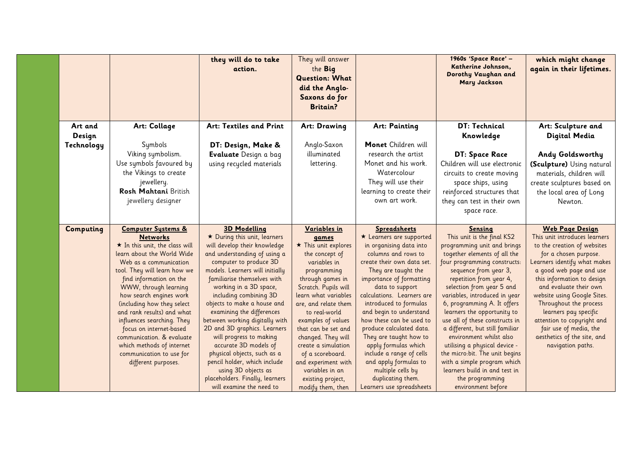|                   |                                                                                                                                                                                                                                                                                                                                                                                                                                                                                                   | they will do to take<br>action.                                                                                                                                                                                                                                                                                                                                                                                                                                                                                                                                                | They will answer<br>the Big<br><b>Question: What</b><br>did the Anglo-<br>Saxons do for<br><b>Britain?</b>                                                                                                                                                                                                                                                                                     |                                                                                                                                                                                                                                                                                                                                                                                                                                                                                                   | 1960s 'Space Race' -<br>Katherine Johnson,<br>Dorothy Vaughan and<br><b>Mary Jackson</b>                                                                                                                                                                                                                                                                                                                                                                                                                                                                                           | which might change<br>again in their lifetimes.                                                                                                                                                                                                                                                                                                                                                                                  |
|-------------------|---------------------------------------------------------------------------------------------------------------------------------------------------------------------------------------------------------------------------------------------------------------------------------------------------------------------------------------------------------------------------------------------------------------------------------------------------------------------------------------------------|--------------------------------------------------------------------------------------------------------------------------------------------------------------------------------------------------------------------------------------------------------------------------------------------------------------------------------------------------------------------------------------------------------------------------------------------------------------------------------------------------------------------------------------------------------------------------------|------------------------------------------------------------------------------------------------------------------------------------------------------------------------------------------------------------------------------------------------------------------------------------------------------------------------------------------------------------------------------------------------|---------------------------------------------------------------------------------------------------------------------------------------------------------------------------------------------------------------------------------------------------------------------------------------------------------------------------------------------------------------------------------------------------------------------------------------------------------------------------------------------------|------------------------------------------------------------------------------------------------------------------------------------------------------------------------------------------------------------------------------------------------------------------------------------------------------------------------------------------------------------------------------------------------------------------------------------------------------------------------------------------------------------------------------------------------------------------------------------|----------------------------------------------------------------------------------------------------------------------------------------------------------------------------------------------------------------------------------------------------------------------------------------------------------------------------------------------------------------------------------------------------------------------------------|
| Art and<br>Design | Art: Collage                                                                                                                                                                                                                                                                                                                                                                                                                                                                                      | Art: Textiles and Print                                                                                                                                                                                                                                                                                                                                                                                                                                                                                                                                                        | Art: Drawing                                                                                                                                                                                                                                                                                                                                                                                   | <b>Art: Painting</b>                                                                                                                                                                                                                                                                                                                                                                                                                                                                              | DT: Technical<br>Knowledge                                                                                                                                                                                                                                                                                                                                                                                                                                                                                                                                                         | Art: Sculpture and<br><b>Digital Media</b>                                                                                                                                                                                                                                                                                                                                                                                       |
| Technology        | Symbols<br>Viking symbolism.<br>Use symbols favoured by<br>the Vikings to create<br>jewellery.<br>Rosh Mahtani British<br>jewellery designer                                                                                                                                                                                                                                                                                                                                                      | DT: Design, Make &<br>Evaluate Design a bag<br>using recycled materials                                                                                                                                                                                                                                                                                                                                                                                                                                                                                                        | Anglo-Saxon<br>illuminated<br>lettering.                                                                                                                                                                                                                                                                                                                                                       | Monet Children will<br>research the artist<br>Monet and his work.<br>Watercolour<br>They will use their<br>learning to create their<br>own art work.                                                                                                                                                                                                                                                                                                                                              | <b>DT: Space Race</b><br>Children will use electronic<br>circuits to create moving<br>space ships, using<br>reinforced structures that<br>they can test in their own<br>space race.                                                                                                                                                                                                                                                                                                                                                                                                | Andy Goldsworthy<br>(Sculpture) Using natural<br>materials, children will<br>create sculptures based on<br>the local area of Long<br>Newton.                                                                                                                                                                                                                                                                                     |
| Computing         | <b>Computer Systems &amp;</b><br><b>Networks</b><br>$\star$ In this unit, the class will<br>learn about the World Wide<br>Web as a communication<br>tool. They will learn how we<br>find information on the<br>WWW, through learning<br>how search engines work<br>(including how they select<br>and rank results) and what<br>influences searching. They<br>focus on internet-based<br>communication. & evaluate<br>which methods of internet<br>communication to use for<br>different purposes. | <b>3D Modelling</b><br>★ During this unit, learners<br>will develop their knowledge<br>and understanding of using a<br>computer to produce 3D<br>models. Learners will initially<br>familiarise themselves with<br>working in a 3D space,<br>including combining 3D<br>objects to make a house and<br>examining the differences<br>between working digitally with<br>2D and 3D graphics. Learners<br>will progress to making<br>accurate 3D models of<br>physical objects, such as a<br>pencil holder, which include<br>using 3D objects as<br>placeholders. Finally, learners | Variables in<br>games<br>$\star$ This unit explores<br>the concept of<br>variables in<br>programming<br>through games in<br>Scratch. Pupils will<br>learn what variables<br>are, and relate them<br>to real-world<br>examples of values<br>that can be set and<br>changed. They will<br>create a simulation<br>of a scoreboard.<br>and experiment with<br>variables in an<br>existing project, | <b>Spreadsheets</b><br>* Learners are supported<br>in organising data into<br>columns and rows to<br>create their own data set.<br>They are taught the<br>importance of formatting<br>data to support<br>calculations. Learners are<br>introduced to formulas<br>and begin to understand<br>how these can be used to<br>produce calculated data.<br>They are taught how to<br>apply formulas which<br>include a range of cells<br>and apply formulas to<br>multiple cells by<br>duplicating them. | <b>Sensing</b><br>This unit is the final KS2<br>programming unit and brings<br>together elements of all the<br>four programming constructs:<br>sequence from year 3,<br>repetition from year 4,<br>selection from year 5 and<br>variables, introduced in year<br>6, programming A. It offers<br>learners the opportunity to<br>use all of these constructs in<br>a different, but still familiar<br>environment whilst also<br>utilising a physical device -<br>the micro: bit. The unit begins<br>with a simple program which<br>learners build in and test in<br>the programming | <b>Web Page Design</b><br>This unit introduces learners<br>to the creation of websites<br>for a chosen purpose.<br>Learners identify what makes<br>a good web page and use<br>this information to design<br>and evaluate their own<br>website using Google Sites.<br>Throughout the process<br>learners pay specific<br>attention to copyright and<br>fair use of media, the<br>aesthetics of the site, and<br>navigation paths. |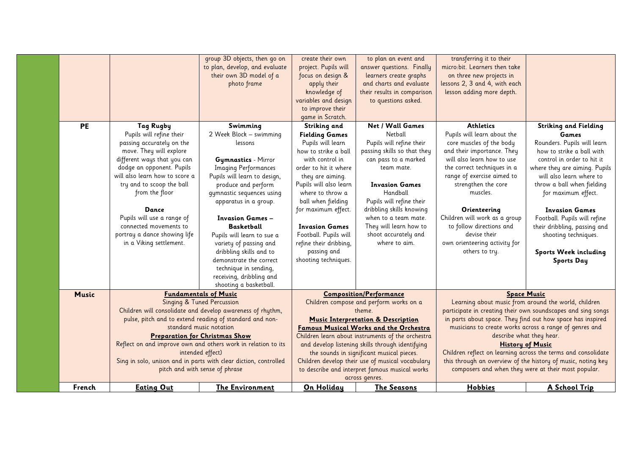|              |                                | group 3D objects, then go on                                     | create their own       | to plan an event and                              | transferring it to their                                      |                                                              |
|--------------|--------------------------------|------------------------------------------------------------------|------------------------|---------------------------------------------------|---------------------------------------------------------------|--------------------------------------------------------------|
|              |                                | to plan, develop, and evaluate                                   | project. Pupils will   | answer questions. Finally                         | micro:bit. Learners then take                                 |                                                              |
|              |                                | their own 3D model of a                                          | focus on design &      | learners create graphs                            | on three new projects in                                      |                                                              |
|              |                                | photo frame                                                      | apply their            | and charts and evaluate                           | lessons 2, 3 and 4, with each                                 |                                                              |
|              |                                |                                                                  | knowledge of           | their results in comparison                       | lesson adding more depth.                                     |                                                              |
|              |                                |                                                                  | variables and design   | to questions asked.                               |                                                               |                                                              |
|              |                                |                                                                  | to improve their       |                                                   |                                                               |                                                              |
|              |                                |                                                                  | game in Scratch.       |                                                   |                                                               |                                                              |
| <b>PE</b>    | Tag Rugby                      | Swimming                                                         | Striking and           | Net / Wall Games                                  | <b>Athletics</b>                                              | <b>Striking and Fielding</b>                                 |
|              | Pupils will refine their       | 2 Week Block - swimming                                          | <b>Fielding Games</b>  | Netball                                           | Pupils will learn about the                                   | Games                                                        |
|              | passing accurately on the      | lessons                                                          | Pupils will learn      | Pupils will refine their                          | core muscles of the body                                      | Rounders. Pupils will learn                                  |
|              | move. They will explore        |                                                                  | how to strike a ball   | passing skills so that they                       | and their importance. They                                    | how to strike a ball with                                    |
|              | different ways that you can    | <b>Gymnastics</b> - Mirror                                       | with control in        | can pass to a marked                              | will also learn how to use                                    | control in order to hit it                                   |
|              | dodge an opponent. Pupils      | <b>Imaging Performances</b>                                      | order to hit it where  | team mate.                                        | the correct techniques in a                                   | where they are aiming. Pupils                                |
|              | will also learn how to score a | Pupils will learn to design,                                     | they are aiming.       |                                                   | range of exercise aimed to                                    | will also learn where to                                     |
|              | try and to scoop the ball      | produce and perform                                              | Pupils will also learn | <b>Invasion Games</b>                             | strengthen the core                                           | throw a ball when fielding                                   |
|              | from the floor                 | gymnastic sequences using                                        | where to throw a       | Handball                                          | muscles.                                                      | for maximum effect.                                          |
|              |                                | apparatus in a group.                                            | ball when fielding     | Pupils will refine their                          |                                                               |                                                              |
|              | Dance                          |                                                                  | for maximum effect.    | dribbling skills knowing                          | Orienteering                                                  | <b>Invasion Games</b>                                        |
|              | Pupils will use a range of     | <b>Invasion Games -</b>                                          |                        | when to a team mate.                              | Children will work as a group                                 | Football. Pupils will refine                                 |
|              | connected movements to         | <b>Basketball</b>                                                | <b>Invasion Games</b>  | They will learn how to                            | to follow directions and                                      | their dribbling, passing and                                 |
|              | portray a dance showing life   | Pupils will learn to sue a                                       | Football. Pupils will  | shoot accurately and                              | devise their                                                  | shooting techniques.                                         |
|              | in a Viking settlement.        | variety of passing and                                           | refine their dribbing, | where to aim.                                     | own orienteering activity for                                 |                                                              |
|              |                                | dribbling skills and to                                          | passing and            |                                                   | others to try.                                                | Sports Week including                                        |
|              |                                | demonstrate the correct                                          | shooting techniques.   |                                                   |                                                               | <b>Sports Day</b>                                            |
|              |                                | technique in sending,                                            |                        |                                                   |                                                               |                                                              |
|              |                                | receiving, dribbling and                                         |                        |                                                   |                                                               |                                                              |
|              |                                | shooting a basketball.                                           |                        |                                                   |                                                               |                                                              |
| <b>Music</b> |                                | <b>Fundamentals of Music</b>                                     |                        | <b>Composition/Performance</b>                    | <b>Space Music</b>                                            |                                                              |
|              |                                | Singing & Tuned Percussion                                       |                        | Children compose and perform works on a           |                                                               | Learning about music from around the world, children         |
|              |                                | Children will consolidate and develop awareness of rhythm,       |                        | theme.                                            |                                                               | participate in creating their own soundscapes and sing songs |
|              |                                | pulse, pitch and to extend reading of standard and non-          |                        | <b>Music Interpretation &amp; Description</b>     | in parts about space. They find out how space has inspired    |                                                              |
|              |                                | standard music notation                                          |                        | Famous Musical Works and the Orchestra            | musicians to create works across a range of genres and        |                                                              |
|              |                                | <b>Preparation for Christmas Show</b>                            |                        | Children learn about instruments of the orchestra | describe what they hear.                                      |                                                              |
|              |                                | Reflect on and improve own and others work in relation to its    |                        | and develop listening skills through identifying  |                                                               | <b>History of Music</b>                                      |
|              |                                | intended effect)                                                 |                        | the sounds in significant musical pieces.         | Children reflect on learning across the terms and consolidate |                                                              |
|              |                                | Sing in solo, unison and in parts with clear diction, controlled |                        | Children develop their use of musical vocabulary  | this through an overview of the history of music, noting key  |                                                              |
|              |                                | pitch and with sense of phrase                                   |                        | to describe and interpret famous musical works    | composers and when they were at their most popular.           |                                                              |
|              |                                |                                                                  |                        | across genres.                                    |                                                               |                                                              |
| French       | <b>Eating Out</b>              | <b>The Environment</b>                                           | On Holiday             | <b>The Seasons</b>                                | Hobbies                                                       | A School Trip                                                |